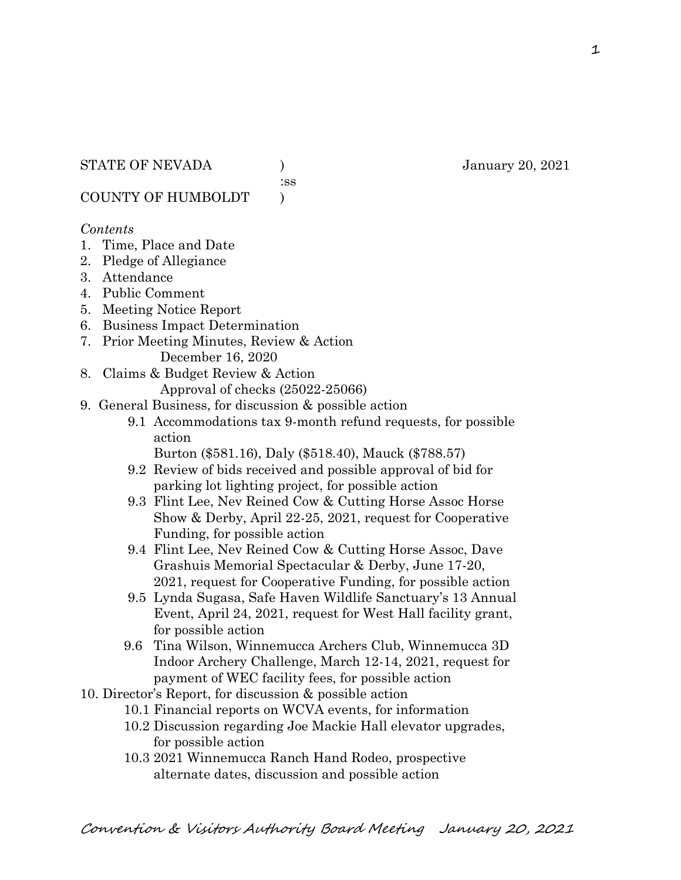:ss

COUNTY OF HUMBOLDT )

#### *Contents*

- 1. Time, Place and Date
- 2. Pledge of Allegiance
- 3. Attendance
- 4. Public Comment
- 5. Meeting Notice Report
- 6. Business Impact Determination
- 7. Prior Meeting Minutes, Review & Action December 16, 2020
- 8. Claims & Budget Review & Action

Approval of checks (25022-25066)

- 9. General Business, for discussion & possible action
	- 9.1 Accommodations tax 9-month refund requests, for possible action
		- Burton (\$581.16), Daly (\$518.40), Mauck (\$788.57)
	- 9.2 Review of bids received and possible approval of bid for parking lot lighting project, for possible action
	- 9.3 Flint Lee, Nev Reined Cow & Cutting Horse Assoc Horse Show & Derby, April 22-25, 2021, request for Cooperative Funding, for possible action
	- 9.4 Flint Lee, Nev Reined Cow & Cutting Horse Assoc, Dave Grashuis Memorial Spectacular & Derby, June 17-20, 2021, request for Cooperative Funding, for possible action
	- 9.5 Lynda Sugasa, Safe Haven Wildlife Sanctuary's 13 Annual Event, April 24, 2021, request for West Hall facility grant, for possible action
	- 9.6 Tina Wilson, Winnemucca Archers Club, Winnemucca 3D Indoor Archery Challenge, March 12-14, 2021, request for payment of WEC facility fees, for possible action
- 10. Director's Report, for discussion & possible action
	- 10.1 Financial reports on WCVA events, for information
		- 10.2 Discussion regarding Joe Mackie Hall elevator upgrades, for possible action
		- 10.3 2021 Winnemucca Ranch Hand Rodeo, prospective alternate dates, discussion and possible action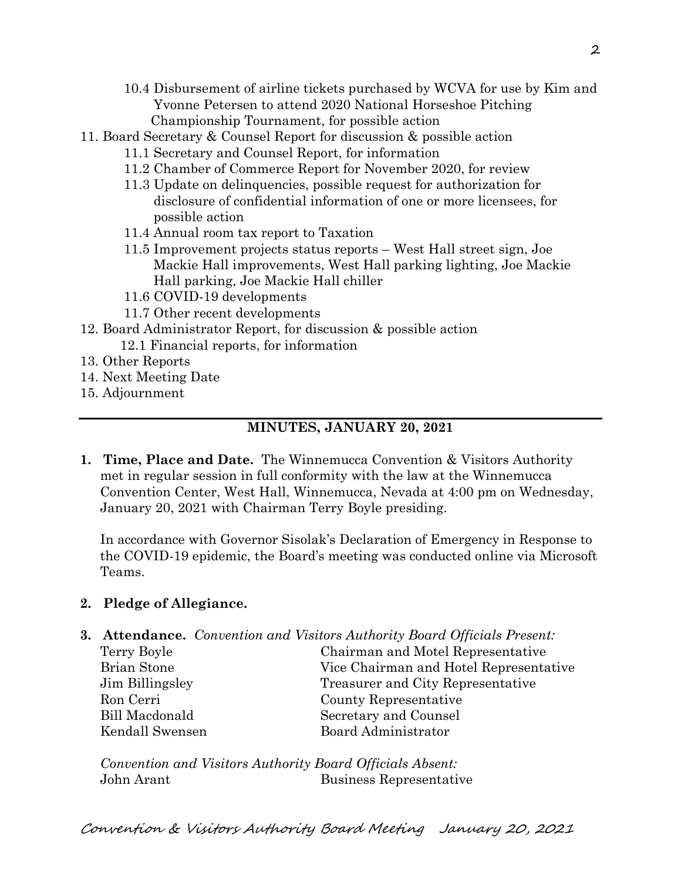- 10.4 Disbursement of airline tickets purchased by WCVA for use by Kim and Yvonne Petersen to attend 2020 National Horseshoe Pitching Championship Tournament, for possible action
- 11. Board Secretary & Counsel Report for discussion & possible action
	- 11.1 Secretary and Counsel Report, for information
	- 11.2 Chamber of Commerce Report for November 2020, for review
	- 11.3 Update on delinquencies, possible request for authorization for disclosure of confidential information of one or more licensees, for possible action
	- 11.4 Annual room tax report to Taxation
	- 11.5 Improvement projects status reports West Hall street sign, Joe Mackie Hall improvements, West Hall parking lighting, Joe Mackie Hall parking, Joe Mackie Hall chiller
	- 11.6 COVID-19 developments
	- 11.7 Other recent developments
- 12. Board Administrator Report, for discussion & possible action
	- 12.1 Financial reports, for information
- 13. Other Reports
- 14. Next Meeting Date
- 15. Adjournment

# **MINUTES, JANUARY 20, 2021**

**1. Time, Place and Date.** The Winnemucca Convention & Visitors Authority met in regular session in full conformity with the law at the Winnemucca Convention Center, West Hall, Winnemucca, Nevada at 4:00 pm on Wednesday, January 20, 2021 with Chairman Terry Boyle presiding.

In accordance with Governor Sisolak's Declaration of Emergency in Response to the COVID-19 epidemic, the Board's meeting was conducted online via Microsoft Teams.

# **2. Pledge of Allegiance.**

**3. Attendance.** *Convention and Visitors Authority Board Officials Present:*

| Terry Boyle     | Chairman and Motel Representative      |  |
|-----------------|----------------------------------------|--|
| Brian Stone     | Vice Chairman and Hotel Representative |  |
| Jim Billingsley | Treasurer and City Representative      |  |
| Ron Cerri       | County Representative                  |  |
| Bill Macdonald  | Secretary and Counsel                  |  |
| Kendall Swensen | Board Administrator                    |  |
|                 |                                        |  |

*Convention and Visitors Authority Board Officials Absent:* John Arant Business Representative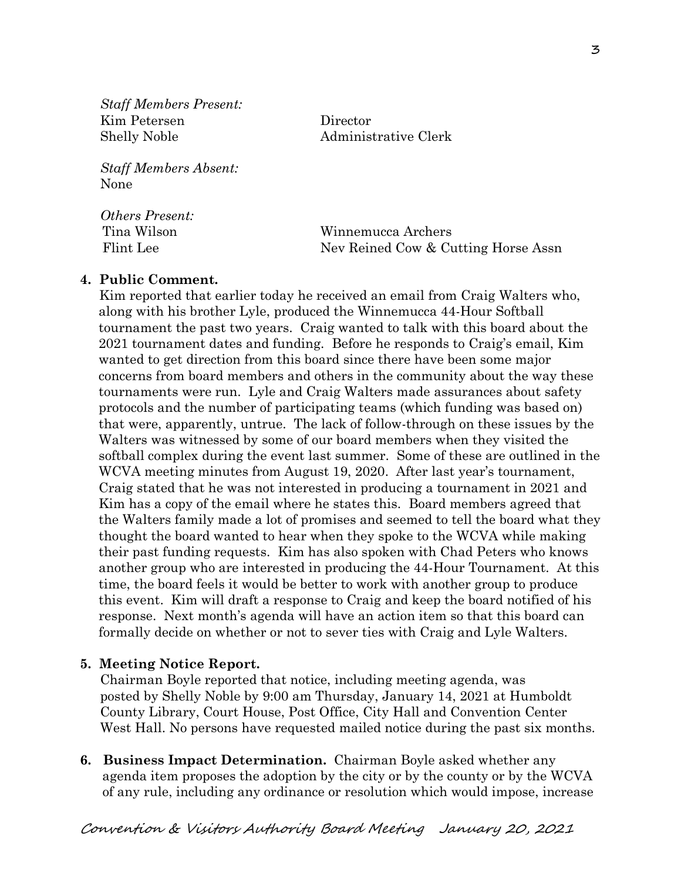*Staff Members Present:* Kim Petersen Director Shelly Noble Administrative Clerk

*Staff Members Absent:* None

*Others Present:*

 Tina Wilson Winnemucca Archers Flint Lee Nev Reined Cow & Cutting Horse Assn

# **4. Public Comment.**

Kim reported that earlier today he received an email from Craig Walters who, along with his brother Lyle, produced the Winnemucca 44-Hour Softball tournament the past two years. Craig wanted to talk with this board about the 2021 tournament dates and funding. Before he responds to Craig's email, Kim wanted to get direction from this board since there have been some major concerns from board members and others in the community about the way these tournaments were run. Lyle and Craig Walters made assurances about safety protocols and the number of participating teams (which funding was based on) that were, apparently, untrue. The lack of follow-through on these issues by the Walters was witnessed by some of our board members when they visited the softball complex during the event last summer. Some of these are outlined in the WCVA meeting minutes from August 19, 2020. After last year's tournament, Craig stated that he was not interested in producing a tournament in 2021 and Kim has a copy of the email where he states this. Board members agreed that the Walters family made a lot of promises and seemed to tell the board what they thought the board wanted to hear when they spoke to the WCVA while making their past funding requests. Kim has also spoken with Chad Peters who knows another group who are interested in producing the 44-Hour Tournament. At this time, the board feels it would be better to work with another group to produce this event. Kim will draft a response to Craig and keep the board notified of his response. Next month's agenda will have an action item so that this board can formally decide on whether or not to sever ties with Craig and Lyle Walters.

# **5. Meeting Notice Report.**

Chairman Boyle reported that notice, including meeting agenda, was posted by Shelly Noble by 9:00 am Thursday, January 14, 2021 at Humboldt County Library, Court House, Post Office, City Hall and Convention Center West Hall. No persons have requested mailed notice during the past six months.

**6. Business Impact Determination.** Chairman Boyle asked whether any agenda item proposes the adoption by the city or by the county or by the WCVA of any rule, including any ordinance or resolution which would impose, increase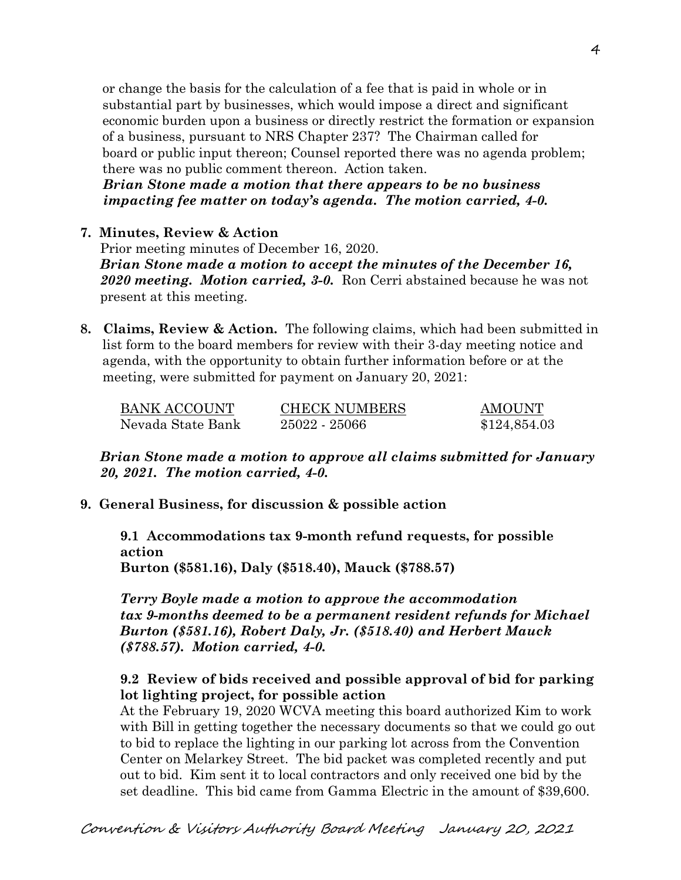or change the basis for the calculation of a fee that is paid in whole or in substantial part by businesses, which would impose a direct and significant economic burden upon a business or directly restrict the formation or expansion of a business, pursuant to NRS Chapter 237? The Chairman called for board or public input thereon; Counsel reported there was no agenda problem; there was no public comment thereon. Action taken.

 *Brian Stone made a motion that there appears to be no business impacting fee matter on today's agenda. The motion carried, 4-0.*

# **7. Minutes, Review & Action**

Prior meeting minutes of December 16, 2020. *Brian Stone made a motion to accept the minutes of the December 16, 2020 meeting. Motion carried, 3-0.* Ron Cerri abstained because he was not present at this meeting.

**8. Claims, Review & Action.** The following claims, which had been submitted in list form to the board members for review with their 3-day meeting notice and agenda, with the opportunity to obtain further information before or at the meeting, were submitted for payment on January 20, 2021:

| <b>BANK ACCOUNT</b> | <b>CHECK NUMBERS</b> | <b>AMOUNT</b> |
|---------------------|----------------------|---------------|
| Nevada State Bank   | 25022 - 25066        | \$124,854.03  |

*Brian Stone made a motion to approve all claims submitted for January 20, 2021. The motion carried, 4-0.*

# **9. General Business, for discussion & possible action**

**9.1 Accommodations tax 9-month refund requests, for possible action Burton (\$581.16), Daly (\$518.40), Mauck (\$788.57)**

*Terry Boyle made a motion to approve the accommodation tax 9-months deemed to be a permanent resident refunds for Michael Burton (\$581.16), Robert Daly, Jr. (\$518.40) and Herbert Mauck (\$788.57). Motion carried, 4-0.* 

# **9.2 Review of bids received and possible approval of bid for parking lot lighting project, for possible action**

At the February 19, 2020 WCVA meeting this board authorized Kim to work with Bill in getting together the necessary documents so that we could go out to bid to replace the lighting in our parking lot across from the Convention Center on Melarkey Street. The bid packet was completed recently and put out to bid. Kim sent it to local contractors and only received one bid by the set deadline. This bid came from Gamma Electric in the amount of \$39,600.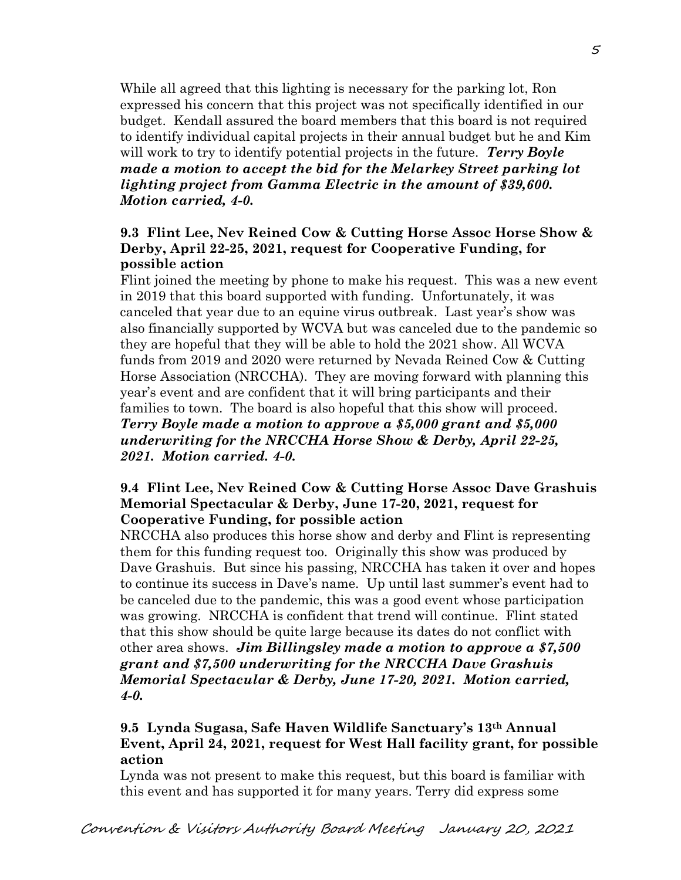While all agreed that this lighting is necessary for the parking lot, Ron expressed his concern that this project was not specifically identified in our budget. Kendall assured the board members that this board is not required to identify individual capital projects in their annual budget but he and Kim will work to try to identify potential projects in the future. *Terry Boyle made a motion to accept the bid for the Melarkey Street parking lot lighting project from Gamma Electric in the amount of \$39,600. Motion carried, 4-0.*

# **9.3 Flint Lee, Nev Reined Cow & Cutting Horse Assoc Horse Show & Derby, April 22-25, 2021, request for Cooperative Funding, for possible action**

Flint joined the meeting by phone to make his request. This was a new event in 2019 that this board supported with funding. Unfortunately, it was canceled that year due to an equine virus outbreak. Last year's show was also financially supported by WCVA but was canceled due to the pandemic so they are hopeful that they will be able to hold the 2021 show. All WCVA funds from 2019 and 2020 were returned by Nevada Reined Cow & Cutting Horse Association (NRCCHA). They are moving forward with planning this year's event and are confident that it will bring participants and their families to town. The board is also hopeful that this show will proceed. *Terry Boyle made a motion to approve a \$5,000 grant and \$5,000 underwriting for the NRCCHA Horse Show & Derby, April 22-25, 2021. Motion carried. 4-0.* 

# **9.4 Flint Lee, Nev Reined Cow & Cutting Horse Assoc Dave Grashuis Memorial Spectacular & Derby, June 17-20, 2021, request for Cooperative Funding, for possible action**

NRCCHA also produces this horse show and derby and Flint is representing them for this funding request too. Originally this show was produced by Dave Grashuis. But since his passing, NRCCHA has taken it over and hopes to continue its success in Dave's name. Up until last summer's event had to be canceled due to the pandemic, this was a good event whose participation was growing. NRCCHA is confident that trend will continue. Flint stated that this show should be quite large because its dates do not conflict with other area shows. *Jim Billingsley made a motion to approve a \$7,500 grant and \$7,500 underwriting for the NRCCHA Dave Grashuis Memorial Spectacular & Derby, June 17-20, 2021. Motion carried, 4-0.* 

# **9.5 Lynda Sugasa, Safe Haven Wildlife Sanctuary's 13th Annual Event, April 24, 2021, request for West Hall facility grant, for possible action**

Lynda was not present to make this request, but this board is familiar with this event and has supported it for many years. Terry did express some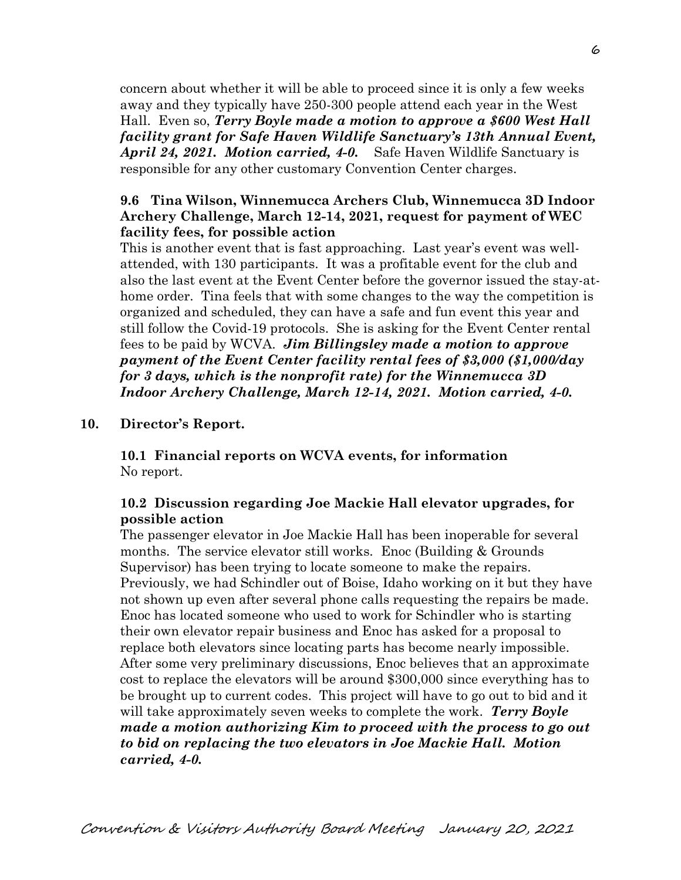concern about whether it will be able to proceed since it is only a few weeks away and they typically have 250-300 people attend each year in the West Hall. Even so, *Terry Boyle made a motion to approve a \$600 West Hall facility grant for Safe Haven Wildlife Sanctuary's 13th Annual Event, April 24, 2021. Motion carried, 4-0.* Safe Haven Wildlife Sanctuary is responsible for any other customary Convention Center charges.

# **9.6 Tina Wilson, Winnemucca Archers Club, Winnemucca 3D Indoor Archery Challenge, March 12-14, 2021, request for payment of WEC facility fees, for possible action**

This is another event that is fast approaching. Last year's event was wellattended, with 130 participants. It was a profitable event for the club and also the last event at the Event Center before the governor issued the stay-athome order. Tina feels that with some changes to the way the competition is organized and scheduled, they can have a safe and fun event this year and still follow the Covid-19 protocols. She is asking for the Event Center rental fees to be paid by WCVA. *Jim Billingsley made a motion to approve payment of the Event Center facility rental fees of \$3,000 (\$1,000/day for 3 days, which is the nonprofit rate) for the Winnemucca 3D Indoor Archery Challenge, March 12-14, 2021. Motion carried, 4-0.* 

#### **10. Director's Report.**

**10.1 Financial reports on WCVA events, for information** No report.

#### **10.2 Discussion regarding Joe Mackie Hall elevator upgrades, for possible action**

The passenger elevator in Joe Mackie Hall has been inoperable for several months. The service elevator still works. Enoc (Building & Grounds Supervisor) has been trying to locate someone to make the repairs. Previously, we had Schindler out of Boise, Idaho working on it but they have not shown up even after several phone calls requesting the repairs be made. Enoc has located someone who used to work for Schindler who is starting their own elevator repair business and Enoc has asked for a proposal to replace both elevators since locating parts has become nearly impossible. After some very preliminary discussions, Enoc believes that an approximate cost to replace the elevators will be around \$300,000 since everything has to be brought up to current codes. This project will have to go out to bid and it will take approximately seven weeks to complete the work. *Terry Boyle made a motion authorizing Kim to proceed with the process to go out to bid on replacing the two elevators in Joe Mackie Hall. Motion carried, 4-0.*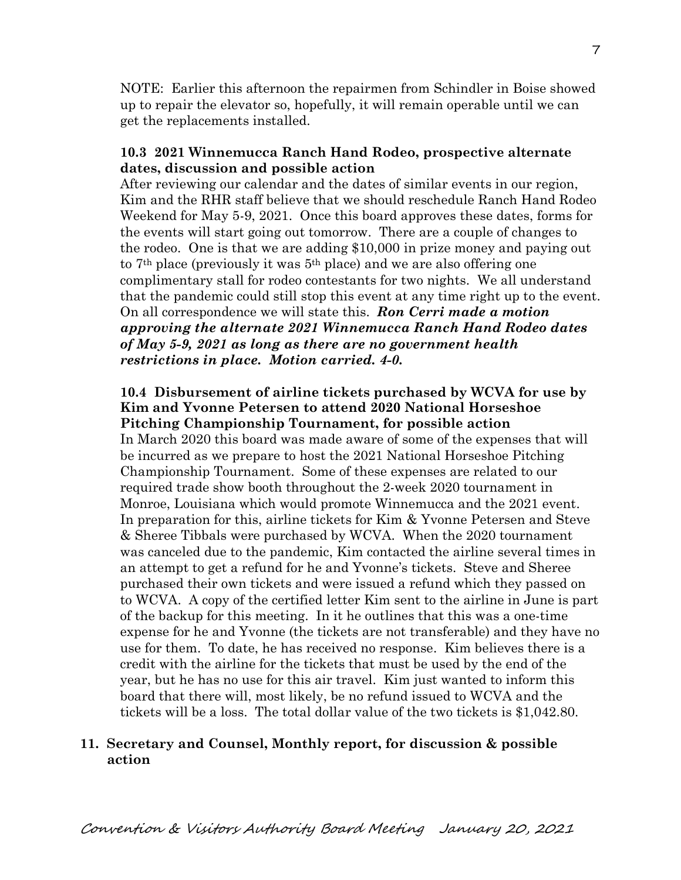NOTE: Earlier this afternoon the repairmen from Schindler in Boise showed up to repair the elevator so, hopefully, it will remain operable until we can get the replacements installed.

#### **10.3 2021 Winnemucca Ranch Hand Rodeo, prospective alternate dates, discussion and possible action**

After reviewing our calendar and the dates of similar events in our region, Kim and the RHR staff believe that we should reschedule Ranch Hand Rodeo Weekend for May 5-9, 2021. Once this board approves these dates, forms for the events will start going out tomorrow. There are a couple of changes to the rodeo. One is that we are adding \$10,000 in prize money and paying out to 7th place (previously it was 5th place) and we are also offering one complimentary stall for rodeo contestants for two nights. We all understand that the pandemic could still stop this event at any time right up to the event. On all correspondence we will state this. *Ron Cerri made a motion approving the alternate 2021 Winnemucca Ranch Hand Rodeo dates of May 5-9, 2021 as long as there are no government health restrictions in place. Motion carried. 4-0.* 

# **10.4 Disbursement of airline tickets purchased by WCVA for use by Kim and Yvonne Petersen to attend 2020 National Horseshoe Pitching Championship Tournament, for possible action**

In March 2020 this board was made aware of some of the expenses that will be incurred as we prepare to host the 2021 National Horseshoe Pitching Championship Tournament. Some of these expenses are related to our required trade show booth throughout the 2-week 2020 tournament in Monroe, Louisiana which would promote Winnemucca and the 2021 event. In preparation for this, airline tickets for Kim & Yvonne Petersen and Steve & Sheree Tibbals were purchased by WCVA. When the 2020 tournament was canceled due to the pandemic, Kim contacted the airline several times in an attempt to get a refund for he and Yvonne's tickets. Steve and Sheree purchased their own tickets and were issued a refund which they passed on to WCVA. A copy of the certified letter Kim sent to the airline in June is part of the backup for this meeting. In it he outlines that this was a one-time expense for he and Yvonne (the tickets are not transferable) and they have no use for them. To date, he has received no response. Kim believes there is a credit with the airline for the tickets that must be used by the end of the year, but he has no use for this air travel. Kim just wanted to inform this board that there will, most likely, be no refund issued to WCVA and the tickets will be a loss. The total dollar value of the two tickets is \$1,042.80.

# **11. Secretary and Counsel, Monthly report, for discussion & possible action**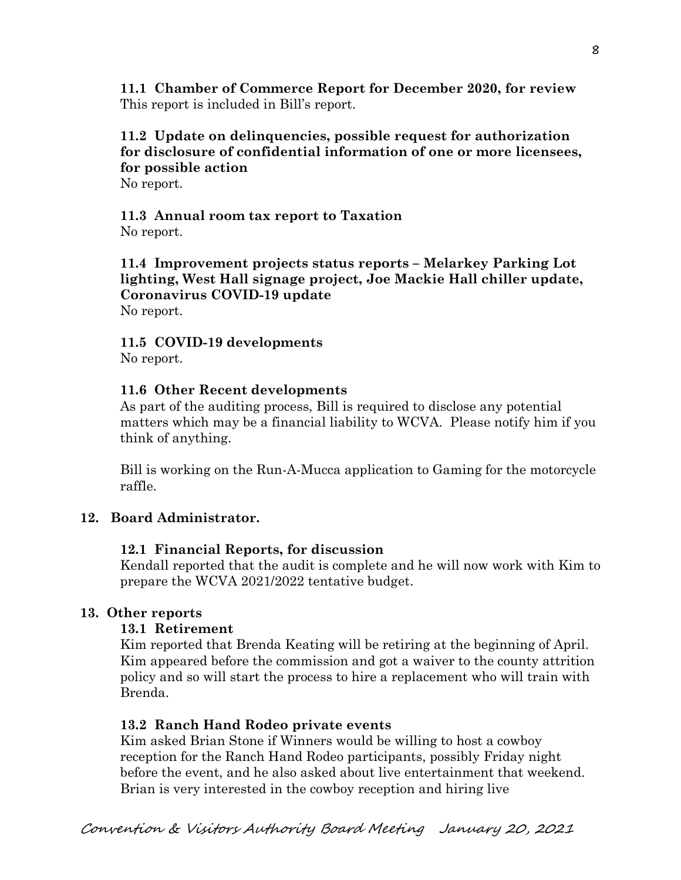**11.1 Chamber of Commerce Report for December 2020, for review** This report is included in Bill's report.

# **11.2 Update on delinquencies, possible request for authorization for disclosure of confidential information of one or more licensees, for possible action**

No report.

# **11.3 Annual room tax report to Taxation**

No report.

**11.4 Improvement projects status reports – Melarkey Parking Lot lighting, West Hall signage project, Joe Mackie Hall chiller update, Coronavirus COVID-19 update** No report.

# **11.5 COVID-19 developments**

No report.

# **11.6 Other Recent developments**

As part of the auditing process, Bill is required to disclose any potential matters which may be a financial liability to WCVA. Please notify him if you think of anything.

Bill is working on the Run-A-Mucca application to Gaming for the motorcycle raffle.

# **12. Board Administrator.**

# **12.1 Financial Reports, for discussion**

Kendall reported that the audit is complete and he will now work with Kim to prepare the WCVA 2021/2022 tentative budget.

# **13. Other reports**

# **13.1 Retirement**

Kim reported that Brenda Keating will be retiring at the beginning of April. Kim appeared before the commission and got a waiver to the county attrition policy and so will start the process to hire a replacement who will train with Brenda.

# **13.2 Ranch Hand Rodeo private events**

Kim asked Brian Stone if Winners would be willing to host a cowboy reception for the Ranch Hand Rodeo participants, possibly Friday night before the event, and he also asked about live entertainment that weekend. Brian is very interested in the cowboy reception and hiring live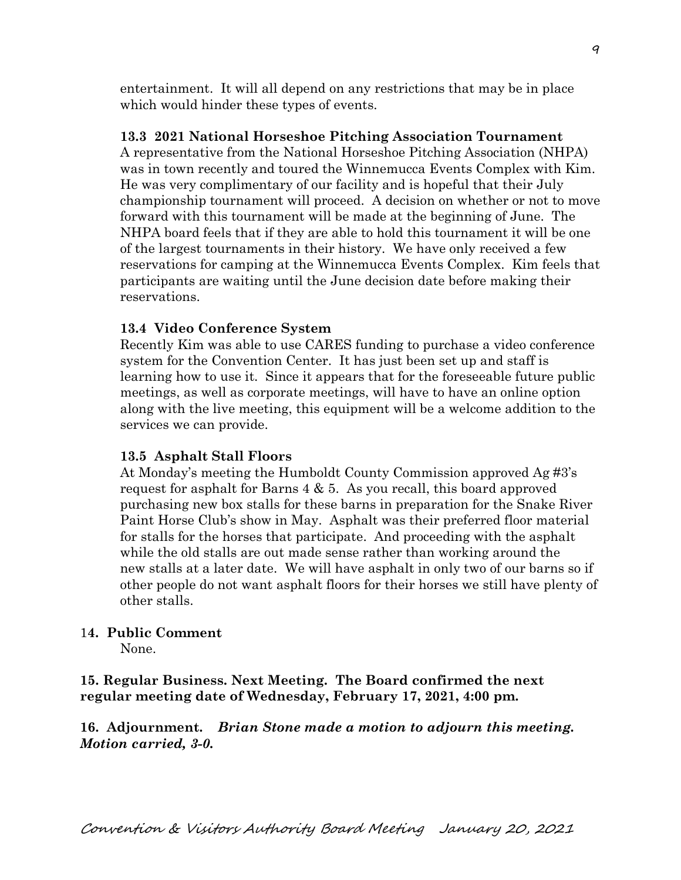entertainment. It will all depend on any restrictions that may be in place which would hinder these types of events.

#### **13.3 2021 National Horseshoe Pitching Association Tournament**

A representative from the National Horseshoe Pitching Association (NHPA) was in town recently and toured the Winnemucca Events Complex with Kim. He was very complimentary of our facility and is hopeful that their July championship tournament will proceed. A decision on whether or not to move forward with this tournament will be made at the beginning of June. The NHPA board feels that if they are able to hold this tournament it will be one of the largest tournaments in their history. We have only received a few reservations for camping at the Winnemucca Events Complex. Kim feels that participants are waiting until the June decision date before making their reservations.

#### **13.4 Video Conference System**

Recently Kim was able to use CARES funding to purchase a video conference system for the Convention Center. It has just been set up and staff is learning how to use it. Since it appears that for the foreseeable future public meetings, as well as corporate meetings, will have to have an online option along with the live meeting, this equipment will be a welcome addition to the services we can provide.

#### **13.5 Asphalt Stall Floors**

At Monday's meeting the Humboldt County Commission approved Ag #3's request for asphalt for Barns  $4 \& 5$ . As you recall, this board approved purchasing new box stalls for these barns in preparation for the Snake River Paint Horse Club's show in May. Asphalt was their preferred floor material for stalls for the horses that participate. And proceeding with the asphalt while the old stalls are out made sense rather than working around the new stalls at a later date. We will have asphalt in only two of our barns so if other people do not want asphalt floors for their horses we still have plenty of other stalls.

#### 1**4. Public Comment**

None.

**15. Regular Business. Next Meeting. The Board confirmed the next regular meeting date of Wednesday, February 17, 2021, 4:00 pm.** 

**16. Adjournment.** *Brian Stone made a motion to adjourn this meeting. Motion carried, 3-0.*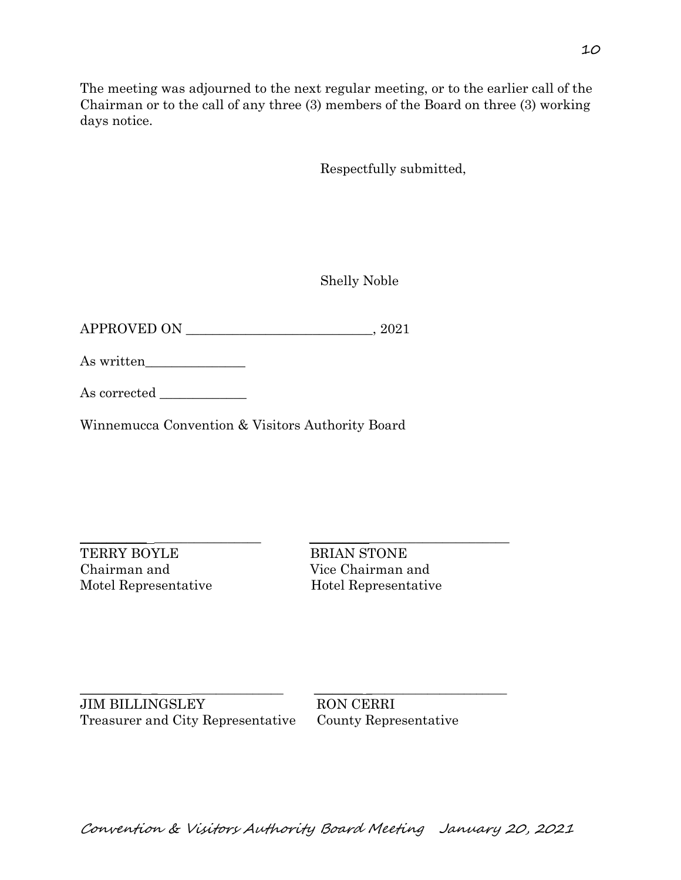Respectfully submitted,

The meeting was adjourned to the next regular meeting, or to the earlier call of the Chairman or to the call of any three (3) members of the Board on three (3) working

Shelly Noble

APPROVED ON \_\_\_\_\_\_\_\_\_\_\_\_\_\_\_\_\_\_\_\_\_\_\_\_\_\_\_\_, 2021

As written\_\_\_\_\_\_\_\_\_\_\_\_\_\_\_

days notice.

As corrected

Winnemucca Convention & Visitors Authority Board

TERRY BOYLE BRIAN STONE Chairman and Vice Chairman and Motel Representative Hotel Representative

 $\_$  , and the contribution of  $\mathcal{L}_\mathcal{L}$  , and the contribution of  $\mathcal{L}_\mathcal{L}$ 

 $\_$  , and the set of the set of the set of the set of the set of the set of the set of the set of the set of the set of the set of the set of the set of the set of the set of the set of the set of the set of the set of th JIM BILLINGSLEY RON CERRI Treasurer and City Representative County Representative